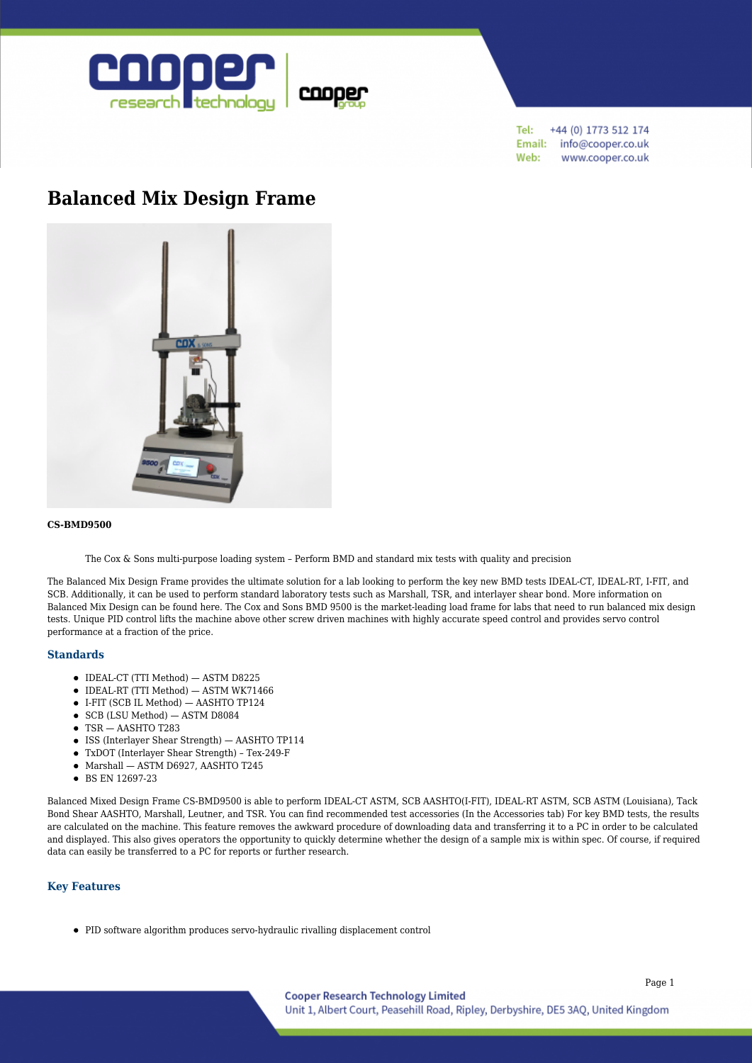

+44 (0) 1773 512 174 Tel: Email: info@cooper.co.uk Web: www.cooper.co.uk

# **[Balanced Mix Design Frame](https://www.cooper.co.uk/shop/asphalt-testing/balanced-mix-design/balanced-mix-design-frame/)**



#### **CS-BMD9500**

The Cox & Sons multi-purpose loading system – Perform BMD and standard mix tests with quality and precision

The Balanced Mix Design Frame provides the ultimate solution for a lab looking to perform the key new BMD tests IDEAL-CT, IDEAL-RT, I-FIT, and SCB. Additionally, it can be used to perform standard laboratory tests such as Marshall, TSR, and interlayer shear bond. [More information on](https://www.cooper.co.uk/perform-better-with-balanced-mix-design/) [Balanced Mix Design can be found here.](https://www.cooper.co.uk/perform-better-with-balanced-mix-design/) The Cox and Sons BMD 9500 is the market-leading load frame for labs that need to run balanced mix design tests. Unique PID control lifts the machine above other screw driven machines with highly accurate speed control and provides servo control performance at a fraction of the price.

#### **Standards**

- IDEAL-CT (TTI Method) ASTM D8225
- IDEAL-RT (TTI Method) ASTM WK71466
- I-FIT (SCB IL Method) AASHTO TP124
- SCB (LSU Method) ASTM D8084
- TSR AASHTO T283
- ISS (Interlayer Shear Strength) AASHTO TP114
- TxDOT (Interlayer Shear Strength) Tex-249-F
- $\bullet$  Marshall ASTM D6927, AASHTO T245
- BS EN 12697-23

Balanced Mixed Design Frame CS-BMD9500 is able to perform IDEAL-CT ASTM, SCB AASHTO(I-FIT), IDEAL-RT ASTM, SCB ASTM (Louisiana), Tack Bond Shear AASHTO, Marshall, Leutner, and TSR. You can find recommended test accessories (In the Accessories tab) For key BMD tests, the results are calculated on the machine. This feature removes the awkward procedure of downloading data and transferring it to a PC in order to be calculated and displayed. This also gives operators the opportunity to quickly determine whether the design of a sample mix is within spec. Of course, if required data can easily be transferred to a PC for reports or further research.

## **Key Features**

PID software algorithm produces servo-hydraulic rivalling displacement control

Page 1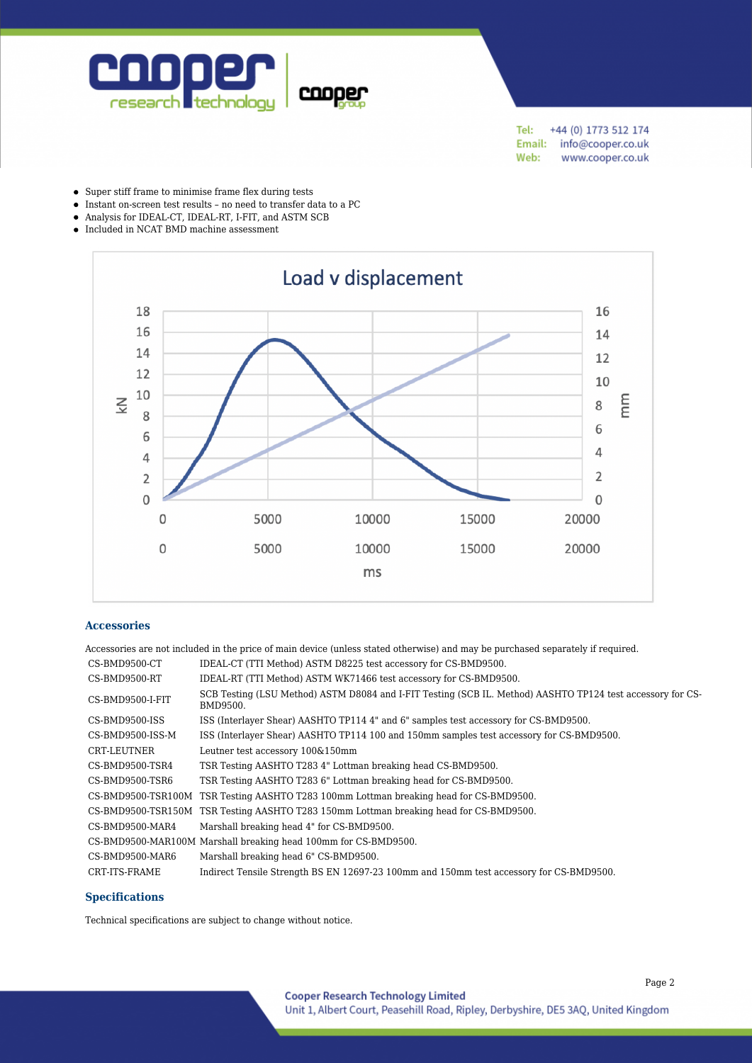

+44 (0) 1773 512 174 Tel: Email: info@cooper.co.uk Web: www.cooper.co.uk

- Super stiff frame to minimise frame flex during tests
- Instant on-screen test results no need to transfer data to a PC  $\bullet$
- Analysis for IDEAL-CT, IDEAL-RT, I-FIT, and ASTM SCB
- Included in NCAT BMD machine assessment



#### **Accessories**

Accessories are not included in the price of main device (unless stated otherwise) and may be purchased separately if required. CS-BMD9500-CT IDEAL-CT (TTI Method) ASTM D8225 test accessory for CS-BMD9500. CS-BMD9500-RT IDEAL-RT (TTI Method) ASTM WK71466 test accessory for CS-BMD9500. CS-BMD9500-I-FIT SCB Testing (LSU Method) ASTM D8084 and I-FIT Testing (SCB IL. Method) AASHTO TP124 test accessory for CS-BMD9500. CS-BMD9500-ISS ISS (Interlayer Shear) AASHTO TP114 4" and 6" samples test accessory for CS-BMD9500. CS-BMD9500-ISS-M ISS (Interlayer Shear) AASHTO TP114 100 and 150mm samples test accessory for CS-BMD9500. CRT-LEUTNER Leutner test accessory 100&150mm CS-BMD9500-TSR4 TSR Testing AASHTO T283 4" Lottman breaking head CS-BMD9500. CS-BMD9500-TSR6 TSR Testing AASHTO T283 6" Lottman breaking head for CS-BMD9500. CS-BMD9500-TSR100M TSR Testing AASHTO T283 100mm Lottman breaking head for CS-BMD9500. CS-BMD9500-TSR150M TSR Testing AASHTO T283 150mm Lottman breaking head for CS-BMD9500. CS-BMD9500-MAR4 Marshall breaking head 4" for CS-BMD9500. CS-BMD9500-MAR100M Marshall breaking head 100mm for CS-BMD9500. CS-BMD9500-MAR6 Marshall breaking head 6" CS-BMD9500. CRT-ITS-FRAME Indirect Tensile Strength BS EN 12697-23 100mm and 150mm test accessory for CS-BMD9500.

## **Specifications**

Technical specifications are subject to change without notice.

Page 2